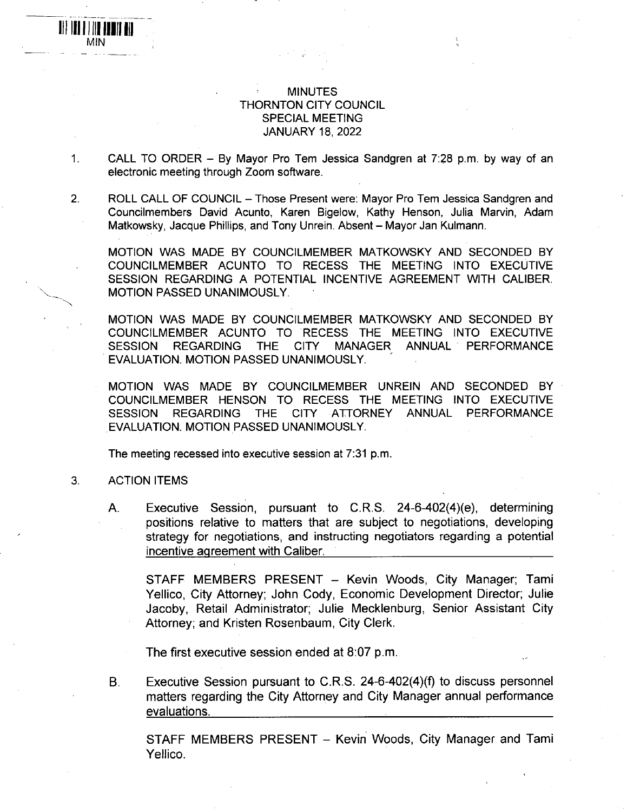## MINUTES THORNTON CITY COUNCIL SPECIAL MEETING JANUARY 18, 2022

- 1. CALL TO ORDER By Mayor Pro Tern Jessica Sandgren at 7:28 p.m. by way of an electronic meeting through Zoom software.
- 2. ROLL CALL OF COUNCIL Those Present were: Mayor Pro Tem Jessica Sandgren and Councilmembers David Acunto, Karen Bigelow, Kathy Henson, Julia Marvin, Adam Matkowsky, Jacque Phillips, and Tony Unrein. Absent - Mayor Jan Kulmann.

MOTION WAS MADE BY COUNCILMEMBER MATKOWSKY AND SECONDED BY COUNCILMEMBER ACUNTO TO RECESS THE MEETING INTO EXECUTIVE SESSION REGARDING A POTENTIAL INCENTIVE AGREEMENT WITH CALIBER. MOTION PASSED UNANIMOUSLY.

MOTION WAS MADE BY COUNCILMEMBER MATKOWSKY AND SECONDED BY COUNCILMEMBER ACUNTO TO RECESS THE MEETING INTO EXECUTIVE SESSION REGARDING THE CITY MANAGER ANNUAL PERFORMANCE EVALUATION. MOTION PASSED UNANIMOUSLY.

MOTION WAS MADE BY COUNCILMEMBER UNREIN AND SECONDED BY COUNCILMEMBER HENSON TO RECESS THE MEETING INTO EXECUTIVE SESSION REGARDING THE CITY ATTORNEY ANNUAL PERFORMANCE EVALUATION. MOTION PASSED UNANIMOUSLY.

The meeting recessed into executive session at 7:31 p.m.

## 3. ACTION ITEMS

Ill nil II fill III VIIN

> A. Executive Session, pursuant to C.R.S. 24-6-402(4)(e), determining positions relative to matters that are subject to negotiations, developing strategy for negotiations, and instructing negotiators regarding a potential incentive agreement with Caliber.

STAFF MEMBERS PRESENT - Kevin Woods, City Manager; Tami Yellico, City Attorney: John Cody, Economic Development Director; Julie Jacoby, Retail Administrator; Julie Mecklenburg, Senior Assistant City Attorney; and Kristen Rosenbaum, City Clerk.

The first executive session ended at 8:07 p.m.

B. Executive Session pursuant to C.R.S. 24-6-402(4)(f) to discuss personnel matters regarding the City Attorney and City Manager annual performance evaluations.

STAFF MEMBERS PRESENT - Kevin Woods, City Manager and Tami Yellico.